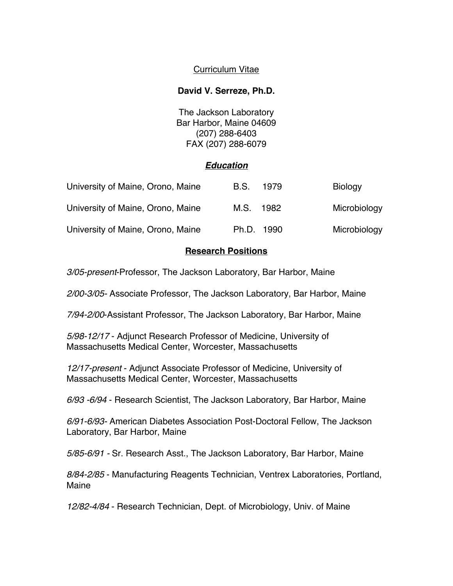# Curriculum Vitae

## **David V. Serreze, Ph.D.**

The Jackson Laboratory Bar Harbor, Maine 04609 (207) 288-6403 FAX (207) 288-6079

### *Education*

| University of Maine, Orono, Maine | B.S.       | 1979 | <b>Biology</b> |
|-----------------------------------|------------|------|----------------|
| University of Maine, Orono, Maine | M.S.       | 1982 | Microbiology   |
| University of Maine, Orono, Maine | Ph.D. 1990 |      | Microbiology   |

### **Research Positions**

*3/05-present*-Professor, The Jackson Laboratory, Bar Harbor, Maine

*2/00-3/05-* Associate Professor, The Jackson Laboratory, Bar Harbor, Maine

*7/94-2/00*-Assistant Professor, The Jackson Laboratory, Bar Harbor, Maine

*5/98-12/17* - Adjunct Research Professor of Medicine, University of Massachusetts Medical Center, Worcester, Massachusetts

*12/17-present* - Adjunct Associate Professor of Medicine, University of Massachusetts Medical Center, Worcester, Massachusetts

*6/93 -6/94* - Research Scientist, The Jackson Laboratory, Bar Harbor, Maine

*6/91-6/93-* American Diabetes Association Post-Doctoral Fellow, The Jackson Laboratory, Bar Harbor, Maine

*5/85-6/91 -* Sr. Research Asst., The Jackson Laboratory, Bar Harbor, Maine

*8/84-2/85* - Manufacturing Reagents Technician, Ventrex Laboratories, Portland, Maine

*12/82-4/84* - Research Technician, Dept. of Microbiology, Univ. of Maine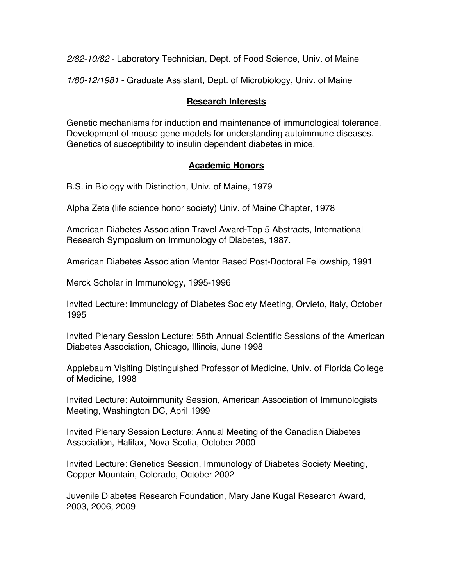*2/82-10/82* - Laboratory Technician, Dept. of Food Science, Univ. of Maine

*1/80-12/1981* - Graduate Assistant, Dept. of Microbiology, Univ. of Maine

## **Research Interests**

Genetic mechanisms for induction and maintenance of immunological tolerance. Development of mouse gene models for understanding autoimmune diseases. Genetics of susceptibility to insulin dependent diabetes in mice.

## **Academic Honors**

B.S. in Biology with Distinction, Univ. of Maine, 1979

Alpha Zeta (life science honor society) Univ. of Maine Chapter, 1978

American Diabetes Association Travel Award-Top 5 Abstracts, International Research Symposium on Immunology of Diabetes, 1987.

American Diabetes Association Mentor Based Post-Doctoral Fellowship, 1991

Merck Scholar in Immunology, 1995-1996

Invited Lecture: Immunology of Diabetes Society Meeting, Orvieto, Italy, October 1995

Invited Plenary Session Lecture: 58th Annual Scientific Sessions of the American Diabetes Association, Chicago, Illinois, June 1998

Applebaum Visiting Distinguished Professor of Medicine, Univ. of Florida College of Medicine, 1998

Invited Lecture: Autoimmunity Session, American Association of Immunologists Meeting, Washington DC, April 1999

Invited Plenary Session Lecture: Annual Meeting of the Canadian Diabetes Association, Halifax, Nova Scotia, October 2000

Invited Lecture: Genetics Session, Immunology of Diabetes Society Meeting, Copper Mountain, Colorado, October 2002

Juvenile Diabetes Research Foundation, Mary Jane Kugal Research Award, 2003, 2006, 2009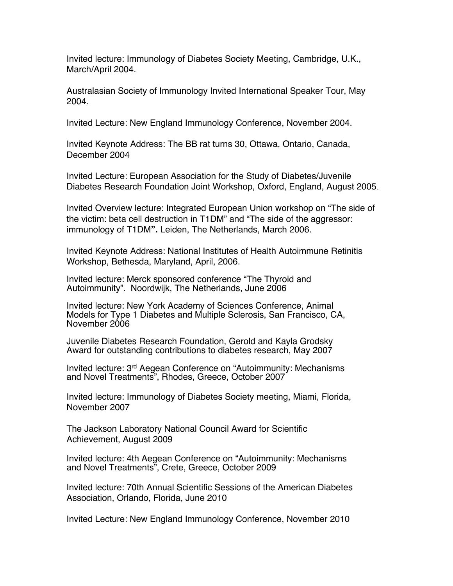Invited lecture: Immunology of Diabetes Society Meeting, Cambridge, U.K., March/April 2004.

Australasian Society of Immunology Invited International Speaker Tour, May 2004.

Invited Lecture: New England Immunology Conference, November 2004.

Invited Keynote Address: The BB rat turns 30, Ottawa, Ontario, Canada, December 2004

Invited Lecture: European Association for the Study of Diabetes/Juvenile Diabetes Research Foundation Joint Workshop, Oxford, England, August 2005.

Invited Overview lecture: Integrated European Union workshop on "The side of the victim: beta cell destruction in T1DM" and "The side of the aggressor: immunology of T1DM**".** Leiden, The Netherlands, March 2006.

Invited Keynote Address: National Institutes of Health Autoimmune Retinitis Workshop, Bethesda, Maryland, April, 2006.

Invited lecture: Merck sponsored conference "The Thyroid and Autoimmunity". Noordwijk, The Netherlands, June 2006

Invited lecture: New York Academy of Sciences Conference, Animal Models for Type 1 Diabetes and Multiple Sclerosis, San Francisco, CA, November 2006

Juvenile Diabetes Research Foundation, Gerold and Kayla Grodsky Award for outstanding contributions to diabetes research, May 2007

Invited lecture: 3rd Aegean Conference on "Autoimmunity: Mechanisms and Novel Treatments", Rhodes, Greece, October 2007

Invited lecture: Immunology of Diabetes Society meeting, Miami, Florida, November 2007

The Jackson Laboratory National Council Award for Scientific Achievement, August 2009

Invited lecture: 4th Aegean Conference on "Autoimmunity: Mechanisms and Novel Treatments", Crete, Greece, October 2009

Invited lecture: 70th Annual Scientific Sessions of the American Diabetes Association, Orlando, Florida, June 2010

Invited Lecture: New England Immunology Conference, November 2010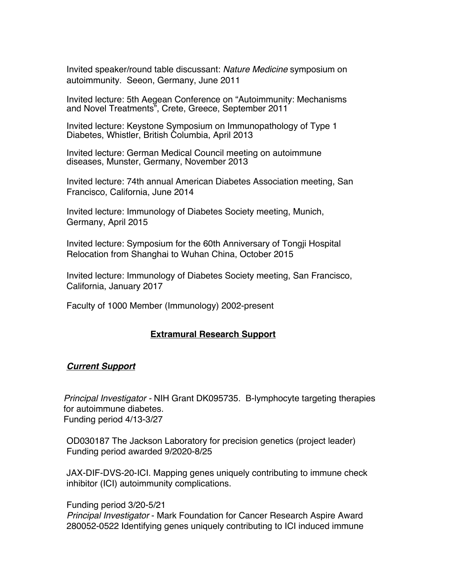Invited speaker/round table discussant: *Nature Medicine* symposium on autoimmunity. Seeon, Germany, June 2011

Invited lecture: 5th Aegean Conference on "Autoimmunity: Mechanisms and Novel Treatments", Crete, Greece, September 2011

Invited lecture: Keystone Symposium on Immunopathology of Type 1 Diabetes, Whistler, British Columbia, April 2013

Invited lecture: German Medical Council meeting on autoimmune diseases, Munster, Germany, November 2013

Invited lecture: 74th annual American Diabetes Association meeting, San Francisco, California, June 2014

Invited lecture: Immunology of Diabetes Society meeting, Munich, Germany, April 2015

Invited lecture: Symposium for the 60th Anniversary of Tongji Hospital Relocation from Shanghai to Wuhan China, October 2015

Invited lecture: Immunology of Diabetes Society meeting, San Francisco, California, January 2017

Faculty of 1000 Member (Immunology) 2002-present

### **Extramural Research Support**

#### *Current Support*

*Principal Investigator -* NIH Grant DK095735. B-lymphocyte targeting therapies for autoimmune diabetes. Funding period 4/13-3/27

OD030187 The Jackson Laboratory for precision genetics (project leader) Funding period awarded 9/2020-8/25

JAX-DIF-DVS-20-ICI. Mapping genes uniquely contributing to immune check inhibitor (ICI) autoimmunity complications.

#### Funding period 3/20-5/21

*Principal Investigator* - Mark Foundation for Cancer Research Aspire Award 280052-0522 Identifying genes uniquely contributing to ICI induced immune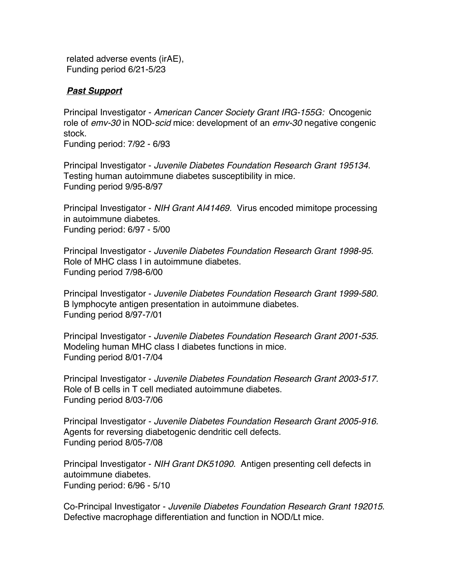related adverse events (irAE), Funding period 6/21-5/23

## *Past Support*

Principal Investigator - *American Cancer Society Grant IRG-155G:* Oncogenic role of *emv-30* in NOD-*scid* mice: development of an *emv-30* negative congenic stock.

Funding period: 7/92 - 6/93

Principal Investigator - *Juvenile Diabetes Foundation Research Grant 195134.* Testing human autoimmune diabetes susceptibility in mice. Funding period 9/95-8/97

Principal Investigator - *NIH Grant AI41469.* Virus encoded mimitope processing in autoimmune diabetes. Funding period: 6/97 - 5/00

Principal Investigator - *Juvenile Diabetes Foundation Research Grant 1998-95.* Role of MHC class I in autoimmune diabetes. Funding period 7/98-6/00

Principal Investigator - *Juvenile Diabetes Foundation Research Grant 1999-580.* B lymphocyte antigen presentation in autoimmune diabetes. Funding period 8/97-7/01

Principal Investigator - *Juvenile Diabetes Foundation Research Grant 2001-535.* Modeling human MHC class I diabetes functions in mice. Funding period 8/01-7/04

Principal Investigator - *Juvenile Diabetes Foundation Research Grant 2003-517.* Role of B cells in T cell mediated autoimmune diabetes. Funding period 8/03-7/06

Principal Investigator - *Juvenile Diabetes Foundation Research Grant 2005-916.* Agents for reversing diabetogenic dendritic cell defects. Funding period 8/05-7/08

Principal Investigator - *NIH Grant DK51090.* Antigen presenting cell defects in autoimmune diabetes. Funding period: 6/96 - 5/10

Co-Principal Investigator - *Juvenile Diabetes Foundation Research Grant 192015*. Defective macrophage differentiation and function in NOD/Lt mice.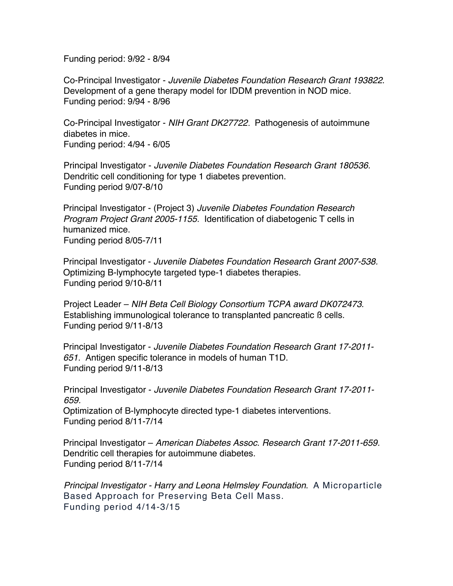Funding period: 9/92 - 8/94

Co-Principal Investigator - *Juvenile Diabetes Foundation Research Grant 193822*. Development of a gene therapy model for IDDM prevention in NOD mice. Funding period: 9/94 - 8/96

Co-Principal Investigator - *NIH Grant DK27722.* Pathogenesis of autoimmune diabetes in mice. Funding period: 4/94 - 6/05

Principal Investigator - *Juvenile Diabetes Foundation Research Grant 180536.* Dendritic cell conditioning for type 1 diabetes prevention. Funding period 9/07-8/10

Principal Investigator - (Project 3) *Juvenile Diabetes Foundation Research Program Project Grant 2005-1155.* Identification of diabetogenic T cells in humanized mice. Funding period 8/05-7/11

Principal Investigator - *Juvenile Diabetes Foundation Research Grant 2007-538.* Optimizing B-lymphocyte targeted type-1 diabetes therapies. Funding period 9/10-8/11

Project Leader – *NIH Beta Cell Biology Consortium TCPA award DK072473*. Establishing immunological tolerance to transplanted pancreatic ß cells. Funding period 9/11-8/13

Principal Investigator - *Juvenile Diabetes Foundation Research Grant 17-2011- 651.* Antigen specific tolerance in models of human T1D. Funding period 9/11-8/13

Principal Investigator - *Juvenile Diabetes Foundation Research Grant 17-2011- 659.*

Optimization of B-lymphocyte directed type-1 diabetes interventions. Funding period 8/11-7/14

Principal Investigator – *American Diabetes Assoc. Research Grant 17-2011-659.* Dendritic cell therapies for autoimmune diabetes. Funding period 8/11-7/14

*Principal Investigator - Harry and Leona Helmsley Foundation*. A Microparticle Based Approach for Preserving Beta Cell Mass. Funding period 4/14-3/15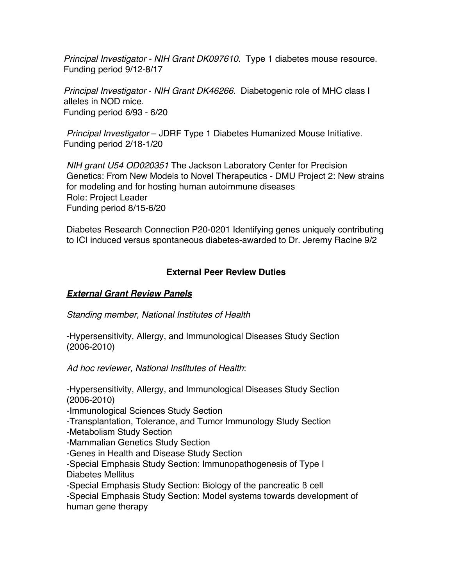*Principal Investigator - NIH Grant DK097610*. Type 1 diabetes mouse resource. Funding period 9/12-8/17

*Principal Investigator* - *NIH Grant DK46266.* Diabetogenic role of MHC class I alleles in NOD mice. Funding period 6/93 - 6/20

*Principal Investigator* – JDRF Type 1 Diabetes Humanized Mouse Initiative. Funding period 2/18-1/20

*NIH grant U54 OD020351* The Jackson Laboratory Center for Precision Genetics: From New Models to Novel Therapeutics - DMU Project 2: New strains for modeling and for hosting human autoimmune diseases Role: Project Leader Funding period 8/15-6/20

Diabetes Research Connection P20-0201 Identifying genes uniquely contributing to ICI induced versus spontaneous diabetes-awarded to Dr. Jeremy Racine 9/2

# **External Peer Review Duties**

# *External Grant Review Panels*

*Standing member, National Institutes of Health*

-Hypersensitivity, Allergy, and Immunological Diseases Study Section (2006-2010)

*Ad hoc reviewer, National Institutes of Health*:

-Hypersensitivity, Allergy, and Immunological Diseases Study Section (2006-2010)

-Immunological Sciences Study Section

-Transplantation, Tolerance, and Tumor Immunology Study Section

-Metabolism Study Section

-Mammalian Genetics Study Section

-Genes in Health and Disease Study Section

-Special Emphasis Study Section: Immunopathogenesis of Type I Diabetes Mellitus

-Special Emphasis Study Section: Biology of the pancreatic ß cell

-Special Emphasis Study Section: Model systems towards development of human gene therapy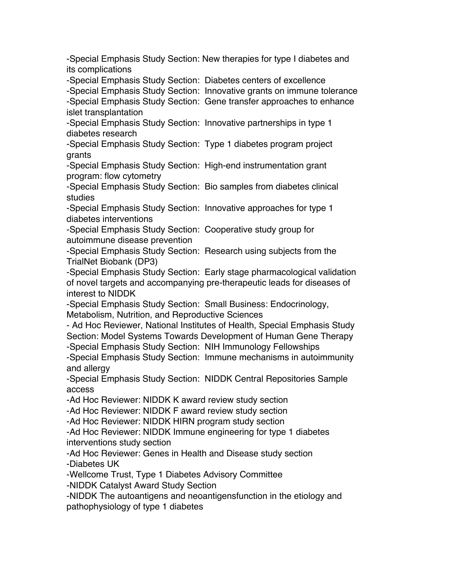-Special Emphasis Study Section: New therapies for type I diabetes and its complications

-Special Emphasis Study Section: Diabetes centers of excellence

-Special Emphasis Study Section: Innovative grants on immune tolerance

-Special Emphasis Study Section: Gene transfer approaches to enhance islet transplantation

-Special Emphasis Study Section: Innovative partnerships in type 1 diabetes research

-Special Emphasis Study Section: Type 1 diabetes program project grants

-Special Emphasis Study Section: High-end instrumentation grant program: flow cytometry

-Special Emphasis Study Section: Bio samples from diabetes clinical studies

-Special Emphasis Study Section: Innovative approaches for type 1 diabetes interventions

-Special Emphasis Study Section: Cooperative study group for autoimmune disease prevention

-Special Emphasis Study Section: Research using subjects from the TrialNet Biobank (DP3)

-Special Emphasis Study Section: Early stage pharmacological validation of novel targets and accompanying pre-therapeutic leads for diseases of interest to NIDDK

-Special Emphasis Study Section: Small Business: Endocrinology, Metabolism, Nutrition, and Reproductive Sciences

- Ad Hoc Reviewer, National Institutes of Health, Special Emphasis Study Section: Model Systems Towards Development of Human Gene Therapy -Special Emphasis Study Section: NIH Immunology Fellowships

-Special Emphasis Study Section: Immune mechanisms in autoimmunity and allergy

-Special Emphasis Study Section: NIDDK Central Repositories Sample access

-Ad Hoc Reviewer: NIDDK K award review study section

-Ad Hoc Reviewer: NIDDK F award review study section

-Ad Hoc Reviewer: NIDDK HIRN program study section

-Ad Hoc Reviewer: NIDDK Immune engineering for type 1 diabetes interventions study section

-Ad Hoc Reviewer: Genes in Health and Disease study section -Diabetes UK

-Wellcome Trust, Type 1 Diabetes Advisory Committee

-NIDDK Catalyst Award Study Section

-NIDDK The autoantigens and neoantigensfunction in the etiology and pathophysiology of type 1 diabetes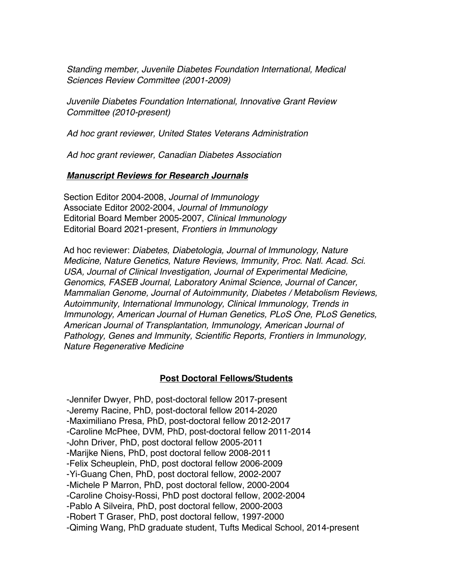*Standing member, Juvenile Diabetes Foundation International, Medical Sciences Review Committee (2001-2009)*

*Juvenile Diabetes Foundation International, Innovative Grant Review Committee (2010-present)*

*Ad hoc grant reviewer, United States Veterans Administration*

*Ad hoc grant reviewer, Canadian Diabetes Association*

#### *Manuscript Reviews for Research Journals*

Section Editor 2004-2008, *Journal of Immunology* Associate Editor 2002-2004, *Journal of Immunology* Editorial Board Member 2005-2007, *Clinical Immunology* Editorial Board 2021-present, *Frontiers in Immunology*

Ad hoc reviewer: *Diabetes, Diabetologia, Journal of Immunology, Nature Medicine, Nature Genetics, Nature Reviews, Immunity, Proc. Natl. Acad. Sci. USA, Journal of Clinical Investigation, Journal of Experimental Medicine, Genomics, FASEB Journal, Laboratory Animal Science, Journal of Cancer, Mammalian Genome, Journal of Autoimmunity, Diabetes / Metabolism Reviews, Autoimmunity, International Immunology, Clinical Immunology, Trends in Immunology, American Journal of Human Genetics, PLoS One, PLoS Genetics, American Journal of Transplantation, Immunology, American Journal of Pathology, Genes and Immunity, Scientific Reports, Frontiers in Immunology, Nature Regenerative Medicine*

#### **Post Doctoral Fellows/Students**

-Jennifer Dwyer, PhD, post-doctoral fellow 2017-present -Jeremy Racine, PhD, post-doctoral fellow 2014-2020 -Maximiliano Presa, PhD, post-doctoral fellow 2012-2017 -Caroline McPhee, DVM, PhD, post-doctoral fellow 2011-2014 -John Driver, PhD, post doctoral fellow 2005-2011 -Marijke Niens, PhD, post doctoral fellow 2008-2011 -Felix Scheuplein, PhD, post doctoral fellow 2006-2009 -Yi-Guang Chen, PhD, post doctoral fellow, 2002-2007 -Michele P Marron, PhD, post doctoral fellow, 2000-2004 -Caroline Choisy-Rossi, PhD post doctoral fellow, 2002-2004 -Pablo A Silveira, PhD, post doctoral fellow, 2000-2003 -Robert T Graser, PhD, post doctoral fellow, 1997-2000 -Qiming Wang, PhD graduate student, Tufts Medical School, 2014-present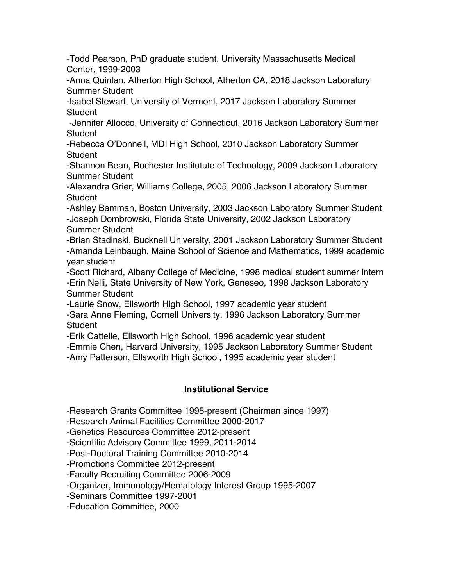-Todd Pearson, PhD graduate student, University Massachusetts Medical Center, 1999-2003

-Anna Quinlan, Atherton High School, Atherton CA, 2018 Jackson Laboratory Summer Student

-Isabel Stewart, University of Vermont, 2017 Jackson Laboratory Summer Student

-Jennifer Allocco, University of Connecticut, 2016 Jackson Laboratory Summer **Student** 

-Rebecca O'Donnell, MDI High School, 2010 Jackson Laboratory Summer **Student** 

-Shannon Bean, Rochester Institutute of Technology, 2009 Jackson Laboratory Summer Student

-Alexandra Grier, Williams College, 2005, 2006 Jackson Laboratory Summer **Student** 

-Ashley Bamman, Boston University, 2003 Jackson Laboratory Summer Student -Joseph Dombrowski, Florida State University, 2002 Jackson Laboratory Summer Student

-Brian Stadinski, Bucknell University, 2001 Jackson Laboratory Summer Student -Amanda Leinbaugh, Maine School of Science and Mathematics, 1999 academic year student

-Scott Richard, Albany College of Medicine, 1998 medical student summer intern -Erin Nelli, State University of New York, Geneseo, 1998 Jackson Laboratory Summer Student

-Laurie Snow, Ellsworth High School, 1997 academic year student

-Sara Anne Fleming, Cornell University, 1996 Jackson Laboratory Summer **Student** 

-Erik Cattelle, Ellsworth High School, 1996 academic year student

-Emmie Chen, Harvard University, 1995 Jackson Laboratory Summer Student

-Amy Patterson, Ellsworth High School, 1995 academic year student

# **Institutional Service**

-Research Grants Committee 1995-present (Chairman since 1997)

-Research Animal Facilities Committee 2000-2017

-Genetics Resources Committee 2012-present

-Scientific Advisory Committee 1999, 2011-2014

-Post-Doctoral Training Committee 2010-2014

-Promotions Committee 2012-present

-Faculty Recruiting Committee 2006-2009

-Organizer, Immunology/Hematology Interest Group 1995-2007

-Seminars Committee 1997-2001

-Education Committee, 2000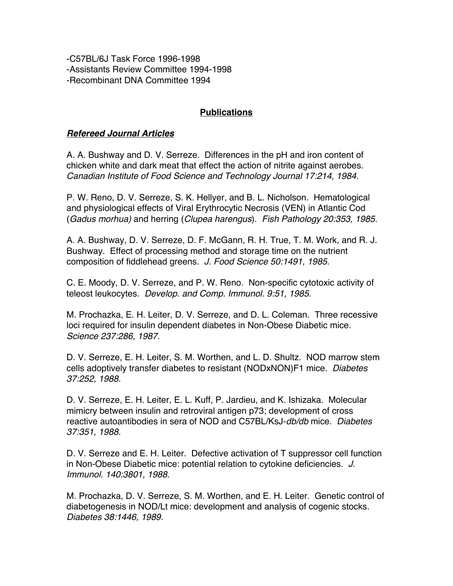-C57BL/6J Task Force 1996-1998 -Assistants Review Committee 1994-1998 -Recombinant DNA Committee 1994

## **Publications**

#### *Refereed Journal Articles*

A. A. Bushway and D. V. Serreze. Differences in the pH and iron content of chicken white and dark meat that effect the action of nitrite against aerobes. *Canadian Institute of Food Science and Technology Journal 17:214, 1984.*

P. W. Reno, D. V. Serreze, S. K. Hellyer, and B. L. Nicholson. Hematological and physiological effects of Viral Erythrocytic Necrosis (VEN) in Atlantic Cod (*Gadus morhua)* and herring (*Clupea harengus*). *Fish Pathology 20:353, 1985.*

A. A. Bushway, D. V. Serreze, D. F. McGann, R. H. True, T. M. Work, and R. J. Bushway. Effect of processing method and storage time on the nutrient composition of fiddlehead greens. *J. Food Science 50:1491, 1985.*

C. E. Moody, D. V. Serreze, and P. W. Reno. Non-specific cytotoxic activity of teleost leukocytes. *Develop. and Comp. Immunol. 9:51, 1985.*

M. Prochazka, E. H. Leiter, D. V. Serreze, and D. L. Coleman. Three recessive loci required for insulin dependent diabetes in Non-Obese Diabetic mice. *Science 237:286, 1987.*

D. V. Serreze, E. H. Leiter, S. M. Worthen, and L. D. Shultz. NOD marrow stem cells adoptively transfer diabetes to resistant (NODxNON)F1 mice. *Diabetes 37:252, 1988.*

D. V. Serreze, E. H. Leiter, E. L. Kuff, P. Jardieu, and K. Ishizaka. Molecular mimicry between insulin and retroviral antigen p73; development of cross reactive autoantibodies in sera of NOD and C57BL/KsJ-*db/db* mice. *Diabetes 37:351, 1988.*

D. V. Serreze and E. H. Leiter. Defective activation of T suppressor cell function in Non-Obese Diabetic mice: potential relation to cytokine deficiencies. *J. Immunol. 140:3801, 1988.*

M. Prochazka, D. V. Serreze, S. M. Worthen, and E. H. Leiter. Genetic control of diabetogenesis in NOD/Lt mice: development and analysis of cogenic stocks. *Diabetes 38:1446, 1989.*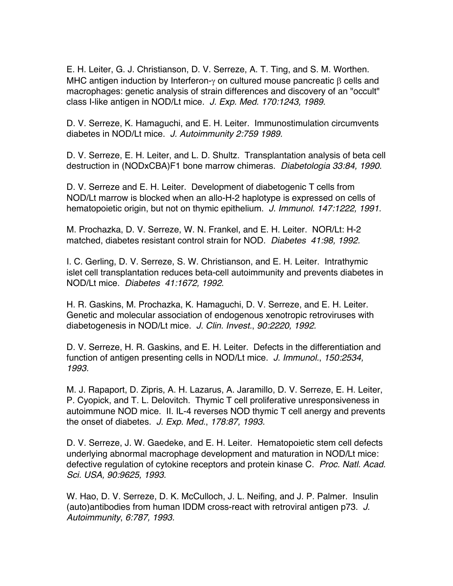E. H. Leiter, G. J. Christianson, D. V. Serreze, A. T. Ting, and S. M. Worthen. MHC antigen induction by Interferon- $\gamma$  on cultured mouse pancreatic  $\beta$  cells and macrophages: genetic analysis of strain differences and discovery of an "occult" class I-like antigen in NOD/Lt mice. *J. Exp. Med. 170:1243, 1989.*

D. V. Serreze, K. Hamaguchi, and E. H. Leiter. Immunostimulation circumvents diabetes in NOD/Lt mice. *J. Autoimmunity 2:759 1989.*

D. V. Serreze, E. H. Leiter, and L. D. Shultz. Transplantation analysis of beta cell destruction in (NODxCBA)F1 bone marrow chimeras. *Diabetologia 33:84, 1990.*

D. V. Serreze and E. H. Leiter. Development of diabetogenic T cells from NOD/Lt marrow is blocked when an allo-H-2 haplotype is expressed on cells of hematopoietic origin, but not on thymic epithelium. *J. Immunol. 147:1222, 1991.*

M. Prochazka, D. V. Serreze, W. N. Frankel, and E. H. Leiter. NOR/Lt: H-2 matched, diabetes resistant control strain for NOD. *Diabetes 41:98, 1992.*

I. C. Gerling, D. V. Serreze, S. W. Christianson, and E. H. Leiter. Intrathymic islet cell transplantation reduces beta-cell autoimmunity and prevents diabetes in NOD/Lt mice. *Diabetes 41:1672, 1992*.

H. R. Gaskins, M. Prochazka, K. Hamaguchi, D. V. Serreze, and E. H. Leiter. Genetic and molecular association of endogenous xenotropic retroviruses with diabetogenesis in NOD/Lt mice. *J. Clin. Invest.*, *90:2220, 1992.*

D. V. Serreze, H. R. Gaskins, and E. H. Leiter. Defects in the differentiation and function of antigen presenting cells in NOD/Lt mice. *J. Immunol.*, *150:2534, 1993.*

M. J. Rapaport, D. Zipris, A. H. Lazarus, A. Jaramillo, D. V. Serreze, E. H. Leiter, P. Cyopick, and T. L. Delovitch. Thymic T cell proliferative unresponsiveness in autoimmune NOD mice. II. IL-4 reverses NOD thymic T cell anergy and prevents the onset of diabetes. *J. Exp. Med.*, *178:87, 1993.*

D. V. Serreze, J. W. Gaedeke, and E. H. Leiter. Hematopoietic stem cell defects underlying abnormal macrophage development and maturation in NOD/Lt mice: defective regulation of cytokine receptors and protein kinase C. *Proc. Natl. Acad. Sci. USA, 90:9625, 1993*.

W. Hao, D. V. Serreze, D. K. McCulloch, J. L. Neifing, and J. P. Palmer. Insulin (auto)antibodies from human IDDM cross-react with retroviral antigen p73. *J. Autoimmunity*, *6:787, 1993.*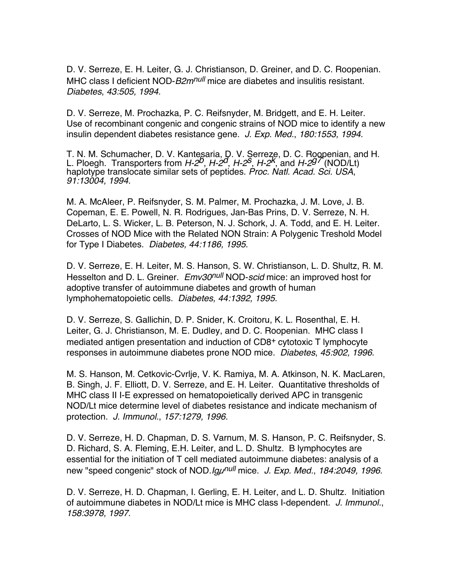D. V. Serreze, E. H. Leiter, G. J. Christianson, D. Greiner, and D. C. Roopenian. MHC class I deficient NOD-*B2m<sup>null</sup>* mice are diabetes and insulitis resistant. *Diabetes*, *43:505, 1994.*

D. V. Serreze, M. Prochazka, P. C. Reifsnyder, M. Bridgett, and E. H. Leiter. Use of recombinant congenic and congenic strains of NOD mice to identify a new insulin dependent diabetes resistance gene. *J. Exp. Med.*, *180:1553, 1994*.

T. N. M. Schumacher, D. V. Kantesaria, D. V. Serreze, D. C. Roopenian, and H. L. Ploegh. Transporters from *H-2b*, *H-2d*, *H-2s*, *H-2k*, and *H-2g7* (NOD/Lt) haplotype translocate similar sets of peptides. *Proc. Natl. Acad. Sci. USA*, *91:13004, 1994.*

M. A. McAleer, P. Reifsnyder, S. M. Palmer, M. Prochazka, J. M. Love, J. B. Copeman, E. E. Powell, N. R. Rodrigues, Jan-Bas Prins, D. V. Serreze, N. H. DeLarto, L. S. Wicker, L. B. Peterson, N. J. Schork, J. A. Todd, and E. H. Leiter. Crosses of NOD Mice with the Related NON Strain: A Polygenic Treshold Model for Type I Diabetes. *Diabetes, 44:1186, 1995*.

D. V. Serreze, E. H. Leiter, M. S. Hanson, S. W. Christianson, L. D. Shultz, R. M. Hesselton and D. L. Greiner. *Emv30null* NOD-*scid* mice: an improved host for adoptive transfer of autoimmune diabetes and growth of human lymphohematopoietic cells. *Diabetes, 44:1392, 1995.*

D. V. Serreze, S. Gallichin, D. P. Snider, K. Croitoru, K. L. Rosenthal, E. H. Leiter, G. J. Christianson, M. E. Dudley, and D. C. Roopenian. MHC class I mediated antigen presentation and induction of CD8+ cytotoxic T lymphocyte responses in autoimmune diabetes prone NOD mice. *Diabetes*, *45:902, 1996*.

M. S. Hanson, M. Cetkovic-Cvrlje, V. K. Ramiya, M. A. Atkinson, N. K. MacLaren, B. Singh, J. F. Elliott, D. V. Serreze, and E. H. Leiter. Quantitative thresholds of MHC class II I-E expressed on hematopoietically derived APC in transgenic NOD/Lt mice determine level of diabetes resistance and indicate mechanism of protection. *J. Immunol.*, *157:1279, 1996.*

D. V. Serreze, H. D. Chapman, D. S. Varnum, M. S. Hanson, P. C. Reifsnyder, S. D. Richard, S. A. Fleming, E.H. Leiter, and L. D. Shultz. B lymphocytes are essential for the initiation of T cell mediated autoimmune diabetes: analysis of a new "speed congenic" stock of NOD.*Igµnull* mice. *J. Exp. Med.*, *184:2049, 1996*.

D. V. Serreze, H. D. Chapman, I. Gerling, E. H. Leiter, and L. D. Shultz. Initiation of autoimmune diabetes in NOD/Lt mice is MHC class I-dependent. *J. Immunol.*, *158:3978, 1997.*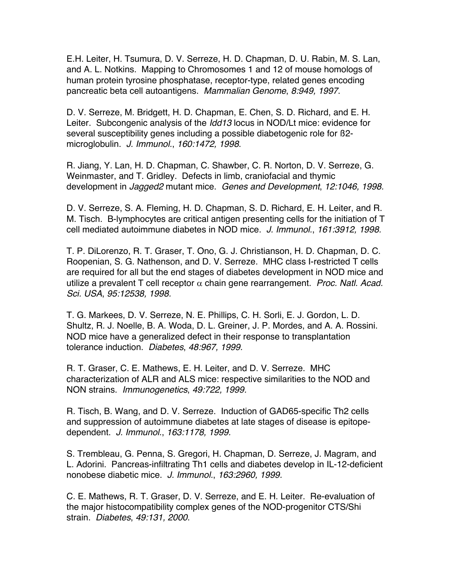E.H. Leiter, H. Tsumura, D. V. Serreze, H. D. Chapman, D. U. Rabin, M. S. Lan, and A. L. Notkins. Mapping to Chromosomes 1 and 12 of mouse homologs of human protein tyrosine phosphatase, receptor-type, related genes encoding pancreatic beta cell autoantigens. *Mammalian Genome*, *8:949, 1997*.

D. V. Serreze, M. Bridgett, H. D. Chapman, E. Chen, S. D. Richard, and E. H. Leiter. Subcongenic analysis of the *Idd13* locus in NOD/Lt mice: evidence for several susceptibility genes including a possible diabetogenic role for ß2 microglobulin. *J. Immunol.*, *160:1472, 1998*.

R. Jiang, Y. Lan, H. D. Chapman, C. Shawber, C. R. Norton, D. V. Serreze, G. Weinmaster, and T. Gridley. Defects in limb, craniofacial and thymic development in *Jagged2* mutant mice. *Genes and Development*, *12:1046, 1998.*

D. V. Serreze, S. A. Fleming, H. D. Chapman, S. D. Richard, E. H. Leiter, and R. M. Tisch. B-lymphocytes are critical antigen presenting cells for the initiation of T cell mediated autoimmune diabetes in NOD mice. *J. Immunol.*, *161:3912, 1998.*

T. P. DiLorenzo, R. T. Graser, T. Ono, G. J. Christianson, H. D. Chapman, D. C. Roopenian, S. G. Nathenson, and D. V. Serreze. MHC class I-restricted T cells are required for all but the end stages of diabetes development in NOD mice and utilize a prevalent  $T$  cell receptor  $\alpha$  chain gene rearrangement. *Proc. Natl. Acad. Sci. USA*, *95:12538, 1998.*

T. G. Markees, D. V. Serreze, N. E. Phillips, C. H. Sorli, E. J. Gordon, L. D. Shultz, R. J. Noelle, B. A. Woda, D. L. Greiner, J. P. Mordes, and A. A. Rossini. NOD mice have a generalized defect in their response to transplantation tolerance induction. *Diabetes*, *48:967, 1999.*

R. T. Graser, C. E. Mathews, E. H. Leiter, and D. V. Serreze. MHC characterization of ALR and ALS mice: respective similarities to the NOD and NON strains. *Immunogenetics*, *49:722, 1999.*

R. Tisch, B. Wang, and D. V. Serreze. Induction of GAD65-specific Th2 cells and suppression of autoimmune diabetes at late stages of disease is epitopedependent. *J. Immunol.*, *163:1178, 1999.*

S. Trembleau, G. Penna, S. Gregori, H. Chapman, D. Serreze, J. Magram, and L. Adorini. Pancreas-infiltrating Th1 cells and diabetes develop in IL-12-deficient nonobese diabetic mice. *J. Immunol.*, *163:2960, 1999.*

C. E. Mathews, R. T. Graser, D. V. Serreze, and E. H. Leiter. Re-evaluation of the major histocompatibility complex genes of the NOD-progenitor CTS/Shi strain. *Diabetes*, *49:131, 2000*.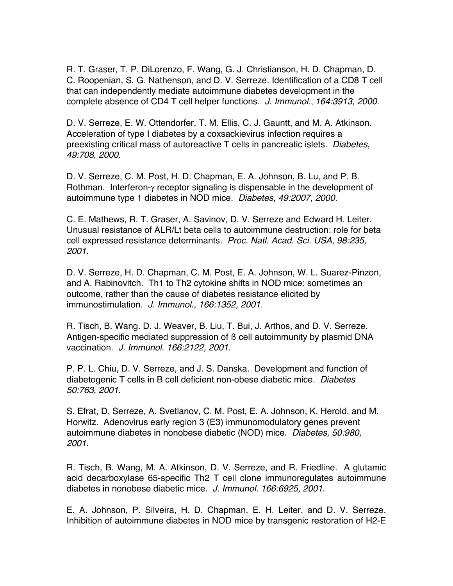R. T. Graser, T. P. DiLorenzo, F. Wang, G. J. Christianson, H. D. Chapman, D. C. Roopenian, S. G. Nathenson, and D. V. Serreze. Identification of a CD8 T cell that can independently mediate autoimmune diabetes development in the complete absence of CD4 T cell helper functions. *J. Immunol*., *164:3913, 2000*.

D. V. Serreze, E. W. Ottendorfer, T. M. Ellis, C. J. Gauntt, and M. A. Atkinson. Acceleration of type I diabetes by a coxsackievirus infection requires a preexisting critical mass of autoreactive T cells in pancreatic islets. *Diabetes*, *49:708, 2000*.

D. V. Serreze, C. M. Post, H. D. Chapman, E. A. Johnson, B. Lu, and P. B. Rothman. Interferon- $\gamma$  receptor signaling is dispensable in the development of autoimmune type 1 diabetes in NOD mice. *Diabetes*, *49:2007, 2000.*

C. E. Mathews, R. T. Graser, A. Savinov, D. V. Serreze and Edward H. Leiter. Unusual resistance of ALR/Lt beta cells to autoimmune destruction: role for beta cell expressed resistance determinants. *Proc. Natl. Acad. Sci. USA*, *98:235, 2001*.

D. V. Serreze, H. D. Chapman, C. M. Post, E. A. Johnson, W. L. Suarez-Pinzon, and A. Rabinovitch. Th1 to Th2 cytokine shifts in NOD mice: sometimes an outcome, rather than the cause of diabetes resistance elicited by immunostimulation. *J. Immunol*., *166:1352, 2001*.

R. Tisch, B. Wang. D. J. Weaver, B. Liu, T. Bui, J. Arthos, and D. V. Serreze. Antigen-specific mediated suppression of ß cell autoimmunity by plasmid DNA vaccination. *J. Immunol. 166:2122, 2001*.

P. P. L. Chiu, D. V. Serreze, and J. S. Danska. Development and function of diabetogenic T cells in B cell deficient non-obese diabetic mice. *Diabetes 50:763, 2001*.

S. Efrat, D. Serreze, A. Svetlanov, C. M. Post, E. A. Johnson, K. Herold, and M. Horwitz. Adenovirus early region 3 (E3) immunomodulatory genes prevent autoimmune diabetes in nonobese diabetic (NOD) mice. *Diabetes, 50:980, 2001*.

R. Tisch, B. Wang, M. A. Atkinson, D. V. Serreze, and R. Friedline. A glutamic acid decarboxylase 65-specific Th2 T cell clone immunoregulates autoimmune diabetes in nonobese diabetic mice. *J. Immunol. 166:6925, 2001*.

E. A. Johnson, P. Silveira, H. D. Chapman, E. H. Leiter, and D. V. Serreze. Inhibition of autoimmune diabetes in NOD mice by transgenic restoration of H2-E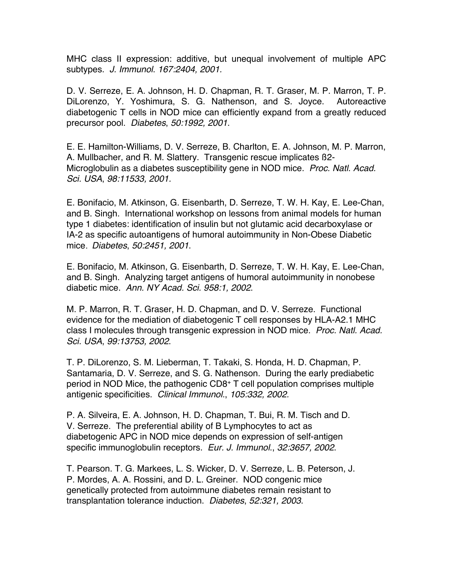MHC class II expression: additive, but unequal involvement of multiple APC subtypes. *J. Immunol*. *167:2404, 2001.*

D. V. Serreze, E. A. Johnson, H. D. Chapman, R. T. Graser, M. P. Marron, T. P. DiLorenzo, Y. Yoshimura, S. G. Nathenson, and S. Joyce. Autoreactive diabetogenic T cells in NOD mice can efficiently expand from a greatly reduced precursor pool. *Diabetes*, *50:1992, 2001*.

E. E. Hamilton-Williams, D. V. Serreze, B. Charlton, E. A. Johnson, M. P. Marron, A. Mullbacher, and R. M. Slattery. Transgenic rescue implicates ß2- Microglobulin as a diabetes susceptibility gene in NOD mice. *Proc. Natl. Acad. Sci. USA*, *98:11533, 2001.*

E. Bonifacio, M. Atkinson, G. Eisenbarth, D. Serreze, T. W. H. Kay, E. Lee-Chan, and B. Singh. International workshop on lessons from animal models for human type 1 diabetes: identification of insulin but not glutamic acid decarboxylase or IA-2 as specific autoantigens of humoral autoimmunity in Non-Obese Diabetic mice. *Diabetes*, *50:2451, 2001*.

E. Bonifacio, M. Atkinson, G. Eisenbarth, D. Serreze, T. W. H. Kay, E. Lee-Chan, and B. Singh. Analyzing target antigens of humoral autoimmunity in nonobese diabetic mice. *Ann. NY Acad. Sci. 958:1, 2002*.

M. P. Marron, R. T. Graser, H. D. Chapman, and D. V. Serreze. Functional evidence for the mediation of diabetogenic T cell responses by HLA-A2.1 MHC class I molecules through transgenic expression in NOD mice. *Proc. Natl. Acad. Sci. USA*, *99:13753, 2002*.

T. P. DiLorenzo, S. M. Lieberman, T. Takaki, S. Honda, H. D. Chapman, P. Santamaria, D. V. Serreze, and S. G. Nathenson. During the early prediabetic period in NOD Mice, the pathogenic CD8+ T cell population comprises multiple antigenic specificities. *Clinical Immunol.*, *105:332, 2002.*

P. A. Silveira, E. A. Johnson, H. D. Chapman, T. Bui, R. M. Tisch and D. V. Serreze. The preferential ability of B Lymphocytes to act as diabetogenic APC in NOD mice depends on expression of self-antigen specific immunoglobulin receptors. *Eur. J. Immunol*., *32:3657, 2002*.

T. Pearson. T. G. Markees, L. S. Wicker, D. V. Serreze, L. B. Peterson, J. P. Mordes, A. A. Rossini, and D. L. Greiner. NOD congenic mice genetically protected from autoimmune diabetes remain resistant to transplantation tolerance induction. *Diabetes*, *52:321, 2003*.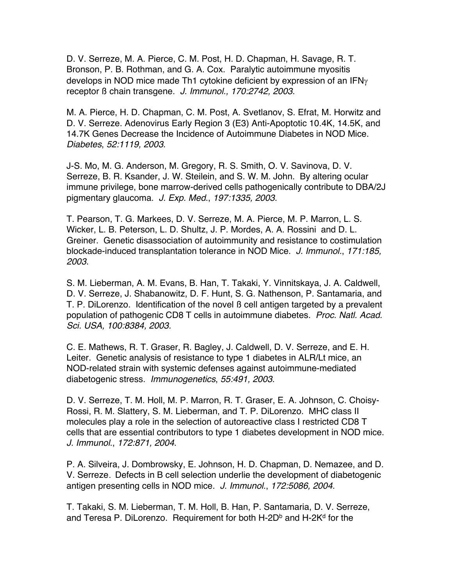D. V. Serreze, M. A. Pierce, C. M. Post, H. D. Chapman, H. Savage, R. T. Bronson, P. B. Rothman, and G. A. Cox. Paralytic autoimmune myositis develops in NOD mice made Th1 cytokine deficient by expression of an IFN $\gamma$ receptor ß chain transgene. *J. Immunol., 170:2742, 2003*.

M. A. Pierce, H. D. Chapman, C. M. Post, A. Svetlanov, S. Efrat, M. Horwitz and D. V. Serreze. Adenovirus Early Region 3 (E3) Anti-Apoptotic 10.4K, 14.5K, and 14.7K Genes Decrease the Incidence of Autoimmune Diabetes in NOD Mice. *Diabetes*, *52:1119, 2003*.

J-S. Mo, M. G. Anderson, M. Gregory, R. S. Smith, O. V. Savinova, D. V. Serreze, B. R. Ksander, J. W. Steilein, and S. W. M. John. By altering ocular immune privilege, bone marrow-derived cells pathogenically contribute to DBA/2J pigmentary glaucoma. *J. Exp. Med*., *197:1335, 2003*.

T. Pearson, T. G. Markees, D. V. Serreze, M. A. Pierce, M. P. Marron, L. S. Wicker, L. B. Peterson, L. D. Shultz, J. P. Mordes, A. A. Rossini and D. L. Greiner. Genetic disassociation of autoimmunity and resistance to costimulation blockade-induced transplantation tolerance in NOD Mice. *J. Immunol.*, *171:185, 2003*.

S. M. Lieberman, A. M. Evans, B. Han, T. Takaki, Y. Vinnitskaya, J. A. Caldwell, D. V. Serreze, J. Shabanowitz, D. F. Hunt, S. G. Nathenson, P. Santamaria, and T. P. DiLorenzo. Identification of the novel ß cell antigen targeted by a prevalent population of pathogenic CD8 T cells in autoimmune diabetes. *Proc. Natl. Acad. Sci. USA, 100:8384, 2003.*

C. E. Mathews, R. T. Graser, R. Bagley, J. Caldwell, D. V. Serreze, and E. H. Leiter. Genetic analysis of resistance to type 1 diabetes in ALR/Lt mice, an NOD-related strain with systemic defenses against autoimmune-mediated diabetogenic stress. *Immunogenetics*, *55:491, 2003*.

D. V. Serreze, T. M. Holl, M. P. Marron, R. T. Graser, E. A. Johnson, C. Choisy-Rossi, R. M. Slattery, S. M. Lieberman, and T. P. DiLorenzo. MHC class II molecules play a role in the selection of autoreactive class I restricted CD8 T cells that are essential contributors to type 1 diabetes development in NOD mice. *J. Immunol*., *172:871, 2004*.

P. A. Silveira, J. Dombrowsky, E. Johnson, H. D. Chapman, D. Nemazee, and D. V. Serreze. Defects in B cell selection underlie the development of diabetogenic antigen presenting cells in NOD mice. *J. Immunol.*, *172:5086, 2004.*

T. Takaki, S. M. Lieberman, T. M. Holl, B. Han, P. Santamaria, D. V. Serreze, and Teresa P. DiLorenzo. Requirement for both H-2D<sup>b</sup> and H-2K<sup>d</sup> for the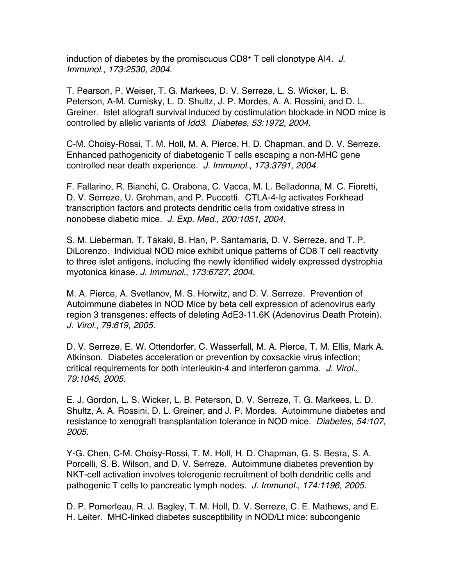induction of diabetes by the promiscuous CD8+ T cell clonotype AI4*. J. Immunol*., *173:2530, 2004*.

T. Pearson, P. Weiser, T. G. Markees, D. V. Serreze, L. S. Wicker, L. B. Peterson, A-M. Cumisky, L. D. Shultz, J. P. Mordes, A. A. Rossini, and D. L. Greiner. Islet allograft survival induced by costimulation blockade in NOD mice is controlled by allelic variants of *Idd3. Diabetes*, *53:1972, 2004*.

C-M. Choisy-Rossi, T. M. Holl, M. A. Pierce, H. D. Chapman, and D. V. Serreze. Enhanced pathogenicity of diabetogenic T cells escaping a non-MHC gene controlled near death experience. *J. Immunol.*, *173:3791, 2004.*

F. Fallarino, R. Bianchi, C. Orabona, C. Vacca, M. L. Belladonna, M. C. Fioretti, D. V. Serreze, U. Grohman, and P. Puccetti. CTLA-4-Ig activates Forkhead transcription factors and protects dendritic cells from oxidative stress in nonobese diabetic mice. *J. Exp. Med*., *200:1051, 2004*.

S. M. Lieberman, T. Takaki, B. Han, P. Santamaria, D. V. Serreze, and T. P. DiLorenzo. Individual NOD mice exhibit unique patterns of CD8 T cell reactivity to three islet antigens, including the newly identified widely expressed dystrophia myotonica kinase. *J. Immunol*., *173:6727, 2004.*

M. A. Pierce, A. Svetlanov, M. S. Horwitz, and D. V. Serreze. Prevention of Autoimmune diabetes in NOD Mice by beta cell expression of adenovirus early region 3 transgenes: effects of deleting AdE3-11.6K (Adenovirus Death Protein). *J. Virol.*, *79:619, 2005*.

D. V. Serreze, E. W. Ottendorfer, C. Wasserfall, M. A. Pierce, T. M. Ellis, Mark A. Atkinson. Diabetes acceleration or prevention by coxsackie virus infection; critical requirements for both interleukin-4 and interferon gamma. *J. Virol*., *79:1045, 2005*.

E. J. Gordon, L. S. Wicker, L. B. Peterson, D. V. Serreze, T. G. Markees, L. D. Shultz, A. A. Rossini, D. L. Greiner, and J. P. Mordes. Autoimmune diabetes and resistance to xenograft transplantation tolerance in NOD mice. *Diabetes*, *54:107, 2005*.

Y-G. Chen, C-M. Choisy-Rossi, T. M. Holl, H. D. Chapman, G. S. Besra, S. A. Porcelli, S. B. Wilson, and D. V. Serreze. Autoimmune diabetes prevention by NKT-cell activation involves tolerogenic recruitment of both dendritic cells and pathogenic T cells to pancreatic lymph nodes. *J. Immunol.*, *174:1196, 2005.*

D. P. Pomerleau, R. J. Bagley, T. M. Holl, D. V. Serreze, C. E. Mathews, and E. H. Leiter. MHC-linked diabetes susceptibility in NOD/Lt mice: subcongenic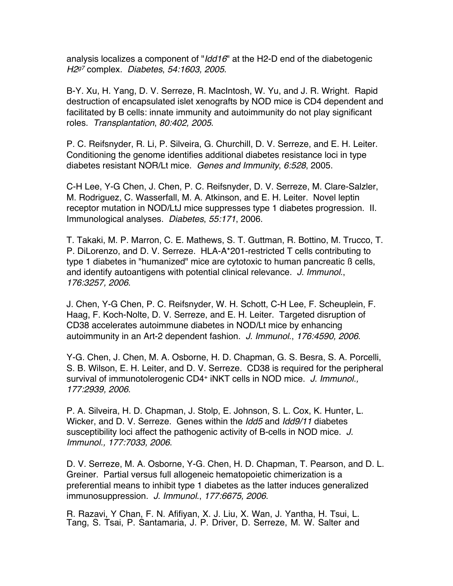analysis localizes a component of "*Idd16*" at the H2-D end of the diabetogenic *H2g7* complex. *Diabetes*, *54:1603, 2005*.

B-Y. Xu, H. Yang, D. V. Serreze, R. MacIntosh, W. Yu, and J. R. Wright. Rapid destruction of encapsulated islet xenografts by NOD mice is CD4 dependent and facilitated by B cells: innate immunity and autoimmunity do not play significant roles. *Transplantation*, *80:402, 2005*.

P. C. Reifsnyder, R. Li, P. Silveira, G. Churchill, D. V. Serreze, and E. H. Leiter. Conditioning the genome identifies additional diabetes resistance loci in type diabetes resistant NOR/Lt mice. *Genes and Immunity*, *6:528*, 2005.

C-H Lee, Y-G Chen, J. Chen, P. C. Reifsnyder, D. V. Serreze, M. Clare-Salzler, M. Rodriguez, C. Wasserfall, M. A. Atkinson, and E. H. Leiter. Novel leptin receptor mutation in NOD/LtJ mice suppresses type 1 diabetes progression. II. Immunological analyses. *Diabetes*, *55:171*, 2006.

T. Takaki, M. P. Marron, C. E. Mathews, S. T. Guttman, R. Bottino, M. Trucco, T. P. DiLorenzo, and D. V. Serreze. HLA-A\*201-restricted T cells contributing to type 1 diabetes in "humanized" mice are cytotoxic to human pancreatic ß cells, and identify autoantigens with potential clinical relevance. *J. Immunol*., *176:3257, 2006*.

J. Chen, Y-G Chen, P. C. Reifsnyder, W. H. Schott, C-H Lee, F. Scheuplein, F. Haag, F. Koch-Nolte, D. V. Serreze, and E. H. Leiter. Targeted disruption of CD38 accelerates autoimmune diabetes in NOD/Lt mice by enhancing autoimmunity in an Art-2 dependent fashion. *J. Immunol*., *176:4590, 2006*.

Y-G. Chen, J. Chen, M. A. Osborne, H. D. Chapman, G. S. Besra, S. A. Porcelli, S. B. Wilson, E. H. Leiter, and D. V. Serreze. CD38 is required for the peripheral survival of immunotolerogenic CD4+ iNKT cells in NOD mice. *J. Immunol., 177:2939, 2006*.

P. A. Silveira, H. D. Chapman, J. Stolp, E. Johnson, S. L. Cox, K. Hunter, L. Wicker, and D. V. Serreze. Genes within the *Idd5* and *Idd9/11* diabetes susceptibility loci affect the pathogenic activity of B-cells in NOD mice. *J. Immunol., 177:7033, 2006*.

D. V. Serreze, M. A. Osborne, Y-G. Chen, H. D. Chapman, T. Pearson, and D. L. Greiner. Partial versus full allogeneic hematopoietic chimerization is a preferential means to inhibit type 1 diabetes as the latter induces generalized immunosuppression. *J. Immunol*., *177:6675, 2006*.

R. Razavi, Y Chan, F. N. Afifiyan, X. J. Liu, X. Wan, J. Yantha, H. Tsui, L. Tang, S. Tsai, P. Santamaria, J. P. Driver, D. Serreze, M. W. Salter and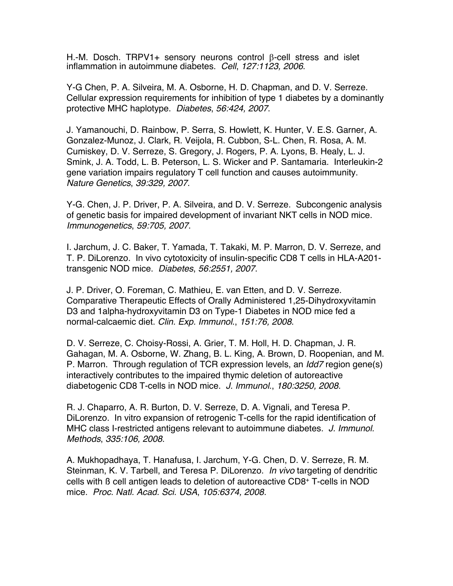H.-M. Dosch. TRPV1+ sensory neurons control  $\beta$ -cell stress and islet inflammation in autoimmune diabetes. *Cell*, *127:1123, 2006*.

Y-G Chen, P. A. Silveira, M. A. Osborne, H. D. Chapman, and D. V. Serreze. Cellular expression requirements for inhibition of type 1 diabetes by a dominantly protective MHC haplotype. *Diabetes*, *56:424, 2007*.

J. Yamanouchi, D. Rainbow, P. Serra, S. Howlett, K. Hunter, V. E.S. Garner, A. Gonzalez-Munoz, J. Clark, R. Veijola, R. Cubbon, S-L. Chen, R. Rosa, A. M. Cumiskey, D. V. Serreze, S. Gregory, J. Rogers, P. A. Lyons, B. Healy, L. J. Smink, J. A. Todd, L. B. Peterson, L. S. Wicker and P. Santamaria. Interleukin-2 gene variation impairs regulatory T cell function and causes autoimmunity. *Nature Genetics*, *39:329, 2007*.

Y-G. Chen, J. P. Driver, P. A. Silveira, and D. V. Serreze. Subcongenic analysis of genetic basis for impaired development of invariant NKT cells in NOD mice. *Immunogenetics*, *59:705, 2007*.

I. Jarchum, J. C. Baker, T. Yamada, T. Takaki, M. P. Marron, D. V. Serreze, and T. P. DiLorenzo. In vivo cytotoxicity of insulin-specific CD8 T cells in HLA-A201 transgenic NOD mice. *Diabetes*, *56:2551, 2007*.

J. P. Driver, O. Foreman, C. Mathieu, E. van Etten, and D. V. Serreze. Comparative Therapeutic Effects of Orally Administered 1,25-Dihydroxyvitamin D3 and 1alpha-hydroxyvitamin D3 on Type-1 Diabetes in NOD mice fed a normal-calcaemic diet. *Clin. Exp. Immunol*., *151:76, 2008*.

D. V. Serreze, C. Choisy-Rossi, A. Grier, T. M. Holl, H. D. Chapman, J. R. Gahagan, M. A. Osborne, W. Zhang, B. L. King, A. Brown, D. Roopenian, and M. P. Marron. Through regulation of TCR expression levels, an *Idd7* region gene(s) interactively contributes to the impaired thymic deletion of autoreactive diabetogenic CD8 T-cells in NOD mice. *J. Immunol*., *180:3250, 2008.*

R. J. Chaparro, A. R. Burton, D. V. Serreze, D. A. Vignali, and Teresa P. DiLorenzo. In vitro expansion of retrogenic T-cells for the rapid identification of MHC class I-restricted antigens relevant to autoimmune diabetes. *J. Immunol. Methods*, *335:106, 2008*.

A. Mukhopadhaya, T. Hanafusa, I. Jarchum, Y-G. Chen, D. V. Serreze, R. M. Steinman, K. V. Tarbell, and Teresa P. DiLorenzo. *In vivo* targeting of dendritic cells with ß cell antigen leads to deletion of autoreactive CD8+ T-cells in NOD mice. *Proc. Natl. Acad. Sci*. *USA*, *105:6374, 2008.*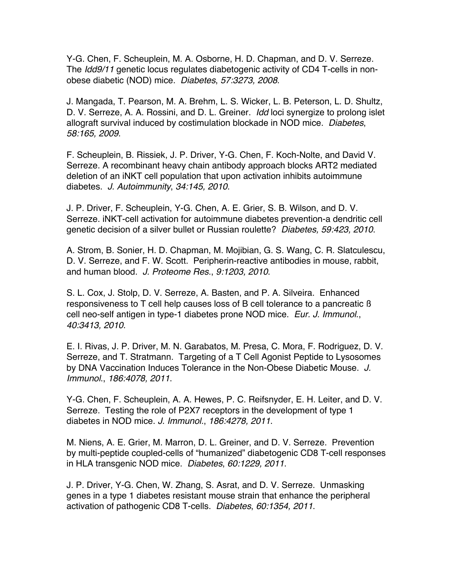Y-G. Chen, F. Scheuplein, M. A. Osborne, H. D. Chapman, and D. V. Serreze. The *Idd9/11* genetic locus regulates diabetogenic activity of CD4 T-cells in nonobese diabetic (NOD) mice. *Diabetes*, *57:3273, 2008*.

J. Mangada, T. Pearson, M. A. Brehm, L. S. Wicker, L. B. Peterson, L. D. Shultz, D. V. Serreze, A. A. Rossini, and D. L. Greiner. *Idd* loci synergize to prolong islet allograft survival induced by costimulation blockade in NOD mice. *Diabetes*, *58:165, 2009*.

F. Scheuplein, B. Rissiek, J. P. Driver, Y-G. Chen, F. Koch-Nolte, and David V. Serreze. A recombinant heavy chain antibody approach blocks ART2 mediated deletion of an iNKT cell population that upon activation inhibits autoimmune diabetes. *J. Autoimmunity*, *34:145, 2010*.

J. P. Driver, F. Scheuplein, Y-G. Chen, A. E. Grier, S. B. Wilson, and D. V. Serreze. iNKT-cell activation for autoimmune diabetes prevention-a dendritic cell genetic decision of a silver bullet or Russian roulette? *Diabetes, 59:423, 2010*.

A. Strom, B. Sonier, H. D. Chapman, M. Mojibian, G. S. Wang, C. R. Slatculescu, D. V. Serreze, and F. W. Scott. Peripherin-reactive antibodies in mouse, rabbit, and human blood. *J. Proteome Res*., *9:1203, 2010*.

S. L. Cox, J. Stolp, D. V. Serreze, A. Basten, and P. A. Silveira. Enhanced responsiveness to T cell help causes loss of B cell tolerance to a pancreatic ß cell neo-self antigen in type-1 diabetes prone NOD mice. *Eur. J. Immunol*., *40:3413, 2010*.

E. I. Rivas, J. P. Driver, M. N. Garabatos, M. Presa, C. Mora, F. Rodriguez, D. V. Serreze, and T. Stratmann. Targeting of a T Cell Agonist Peptide to Lysosomes by DNA Vaccination Induces Tolerance in the Non-Obese Diabetic Mouse. *J. Immunol*., *186:4078, 2011*.

Y-G. Chen, F. Scheuplein, A. A. Hewes, P. C. Reifsnyder, E. H. Leiter, and D. V. Serreze. Testing the role of P2X7 receptors in the development of type 1 diabetes in NOD mice. *J. Immunol.*, *186:4278, 2011*.

M. Niens, A. E. Grier, M. Marron, D. L. Greiner, and D. V. Serreze. Prevention by multi-peptide coupled-cells of "humanized" diabetogenic CD8 T-cell responses in HLA transgenic NOD mice. *Diabetes*, *60:1229, 2011*.

J. P. Driver, Y-G. Chen, W. Zhang, S. Asrat, and D. V. Serreze. Unmasking genes in a type 1 diabetes resistant mouse strain that enhance the peripheral activation of pathogenic CD8 T-cells. *Diabetes*, *60:1354, 2011*.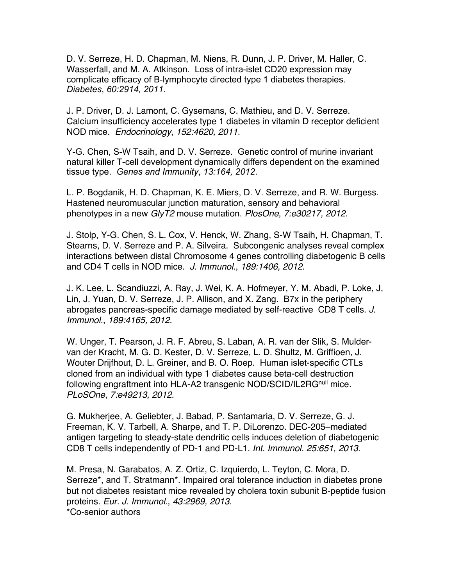D. V. Serreze, H. D. Chapman, M. Niens, R. Dunn, J. P. Driver, M. Haller, C. Wasserfall, and M. A. Atkinson. Loss of intra-islet CD20 expression may complicate efficacy of B-lymphocyte directed type 1 diabetes therapies. *Diabetes*, *60:2914, 2011*.

J. P. Driver, D. J. Lamont, C. Gysemans, C. Mathieu, and D. V. Serreze. Calcium insufficiency accelerates type 1 diabetes in vitamin D receptor deficient NOD mice. *Endocrinology*, *152:4620, 2011*.

Y-G. Chen, S-W Tsaih, and D. V. Serreze. Genetic control of murine invariant natural killer T-cell development dynamically differs dependent on the examined tissue type. *Genes and Immunity*, *13:164, 2012*.

L. P. Bogdanik, H. D. Chapman, K. E. Miers, D. V. Serreze, and R. W. Burgess. Hastened neuromuscular junction maturation, sensory and behavioral phenotypes in a new *GlyT2* mouse mutation. *PlosOne*, *7:e30217, 2012*.

J. Stolp, Y-G. Chen, S. L. Cox, V. Henck, W. Zhang, S-W Tsaih, H. Chapman, T. Stearns, D. V. Serreze and P. A. Silveira. Subcongenic analyses reveal complex interactions between distal Chromosome 4 genes controlling diabetogenic B cells and CD4 T cells in NOD mice. *J. Immunol*., *189:1406, 2012*.

J. K. Lee, L. Scandiuzzi, A. Ray, J. Wei, K. A. Hofmeyer, Y. M. Abadi, P. Loke, J, Lin, J. Yuan, D. V. Serreze, J. P. Allison, and X. Zang. B7x in the periphery abrogates pancreas-specific damage mediated by self-reactive CD8 T cells. *J. Immunol.*, *189:4165, 2012*.

W. Unger, T. Pearson, J. R. F. Abreu, S. Laban, A. R. van der Slik, S. Muldervan der Kracht, M. G. D. Kester, D. V. Serreze, L. D. Shultz, M. Griffioen, J. Wouter Drijfhout, D. L. Greiner, and B. O. Roep. Human islet-specific CTLs cloned from an individual with type 1 diabetes cause beta-cell destruction following engraftment into HLA-A2 transgenic NOD/SCID/IL2RG<sup>null</sup> mice. *PLoSOne*, *7:e49213, 2012.*

G. Mukherjee, A. Geliebter, J. Babad, P. Santamaria, D. V. Serreze, G. J. Freeman, K. V. Tarbell, A. Sharpe, and T. P. DiLorenzo. DEC-205–mediated antigen targeting to steady-state dendritic cells induces deletion of diabetogenic CD8 T cells independently of PD-1 and PD-L1. *Int. Immunol. 25:651, 2013*.

M. Presa, N. Garabatos, A. Z. Ortiz, C. Izquierdo, L. Teyton, C. Mora, D. Serreze\*, and T. Stratmann\*. Impaired oral tolerance induction in diabetes prone but not diabetes resistant mice revealed by cholera toxin subunit B-peptide fusion proteins. *Eur. J. Immunol*., *43:2969, 2013*. \*Co-senior authors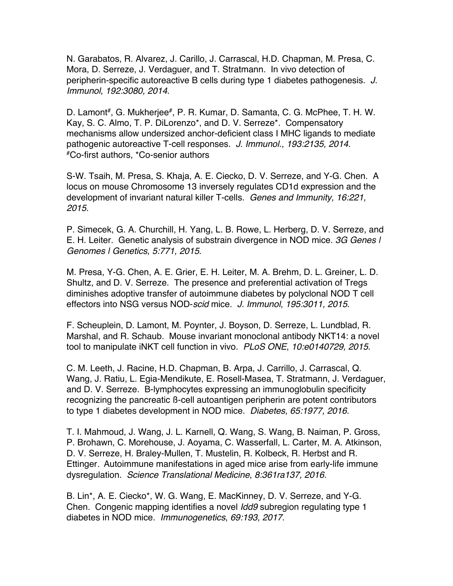N. Garabatos, R. Alvarez, J. Carillo, J. Carrascal, H.D. Chapman, M. Presa, C. Mora, D. Serreze, J. Verdaguer, and T. Stratmann. In vivo detection of peripherin-specific autoreactive B cells during type 1 diabetes pathogenesis. *J. Immunol*, *192:3080, 2014*.

D. Lamont<sup>#</sup>, G. Mukherjee<sup>#</sup>, P. R. Kumar, D. Samanta, C. G. McPhee, T. H. W. Kay, S. C. Almo, T. P. DiLorenzo\*, and D. V. Serreze\*. Compensatory mechanisms allow undersized anchor-deficient class I MHC ligands to mediate pathogenic autoreactive T-cell responses. *J. Immunol.*, *193:2135, 2014*. #Co-first authors, \*Co-senior authors

S-W. Tsaih, M. Presa, S. Khaja, A. E. Ciecko, D. V. Serreze, and Y-G. Chen. A locus on mouse Chromosome 13 inversely regulates CD1d expression and the development of invariant natural killer T-cells. *Genes and Immunity, 16:221, 2015*.

P. Simecek, G. A. Churchill, H. Yang, L. B. Rowe, L. Herberg, D. V. Serreze, and E. H. Leiter. Genetic analysis of substrain divergence in NOD mice. *3G Genes | Genomes | Genetics, 5:771, 2015*.

M. Presa, Y-G. Chen, A. E. Grier, E. H. Leiter, M. A. Brehm, D. L. Greiner, L. D. Shultz, and D. V. Serreze. The presence and preferential activation of Tregs diminishes adoptive transfer of autoimmune diabetes by polyclonal NOD T cell effectors into NSG versus NOD-*scid* mice. *J. Immunol*, *195:3011, 2015*.

F. Scheuplein, D. Lamont, M. Poynter, J. Boyson, D. Serreze, L. Lundblad, R. Marshal, and R. Schaub. Mouse invariant monoclonal antibody NKT14: a novel tool to manipulate iNKT cell function in vivo. *PLoS ONE*, *10:e0140729, 2015*.

C. M. Leeth, J. Racine, H.D. Chapman, B. Arpa, J. Carrillo, J. Carrascal, Q. Wang, J. Ratiu, L. Egia-Mendikute, E. Rosell-Masea, T. Stratmann, J. Verdaguer, and D. V. Serreze. B-lymphocytes expressing an immunoglobulin specificity recognizing the pancreatic ß-cell autoantigen peripherin are potent contributors to type 1 diabetes development in NOD mice. *Diabetes*, *65:1977, 2016*.

T. I. Mahmoud, J. Wang, J. L. Karnell, Q. Wang, S. Wang, B. Naiman, P. Gross, P. Brohawn, C. Morehouse, J. Aoyama, C. Wasserfall, L. Carter, M. A. Atkinson, D. V. Serreze, H. Braley-Mullen, T. Mustelin, R. Kolbeck, R. Herbst and R. Ettinger. Autoimmune manifestations in aged mice arise from early-life immune dysregulation. *Science Translational Medicine*, *8:361ra137, 2016.*

B. Lin\*, A. E. Ciecko\*, W. G. Wang, E. MacKinney, D. V. Serreze, and Y-G. Chen. Congenic mapping identifies a novel *Idd9* subregion regulating type 1 diabetes in NOD mice. *Immunogenetics*, *69:193, 2017*.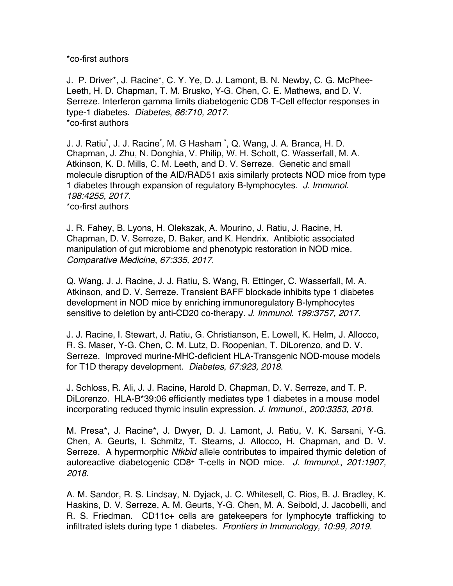\*co-first authors

J. P. Driver\*, J. Racine\*, C. Y. Ye, D. J. Lamont, B. N. Newby, C. G. McPhee-Leeth, H. D. Chapman, T. M. Brusko, Y-G. Chen, C. E. Mathews, and D. V. Serreze. Interferon gamma limits diabetogenic CD8 T-Cell effector responses in type-1 diabetes. *Diabetes*, *66:710, 2017*. \*co-first authors

J. J. Ratiu\* , J. J. Racine\* , M. G Hasham \* , Q. Wang, J. A. Branca, H. D. Chapman, J. Zhu, N. Donghia, V. Philip, W. H. Schott, C. Wasserfall, M. A. Atkinson, K. D. Mills, C. M. Leeth, and D. V. Serreze. Genetic and small molecule disruption of the AID/RAD51 axis similarly protects NOD mice from type 1 diabetes through expansion of regulatory B-lymphocytes. *J. Immunol. 198:4255, 2017*. \*co-first authors

J. R. Fahey, B. Lyons, H. Olekszak, A. Mourino, J. Ratiu, J. Racine, H. Chapman, D. V. Serreze, D. Baker, and K. Hendrix. Antibiotic associated manipulation of gut microbiome and phenotypic restoration in NOD mice. *Comparative Medicine*, *67:335, 2017*.

Q. Wang, J. J. Racine, J. J. Ratiu, S. Wang, R. Ettinger, C. Wasserfall, M. A. Atkinson, and D. V. Serreze. Transient BAFF blockade inhibits type 1 diabetes development in NOD mice by enriching immunoregulatory B-lymphocytes sensitive to deletion by anti-CD20 co-therapy. *J. Immunol*. *199:3757, 2017*.

J. J. Racine, I. Stewart, J. Ratiu, G. Christianson, E. Lowell, K. Helm, J. Allocco, R. S. Maser, Y-G. Chen, C. M. Lutz, D. Roopenian, T. DiLorenzo, and D. V. Serreze. Improved murine-MHC-deficient HLA-Transgenic NOD-mouse models for T1D therapy development. *Diabetes*, *67:923, 2018*.

J. Schloss, R. Ali, J. J. Racine, Harold D. Chapman, D. V. Serreze, and T. P. DiLorenzo. HLA-B\*39:06 efficiently mediates type 1 diabetes in a mouse model incorporating reduced thymic insulin expression. *J. Immunol*., *200:3353, 2018*.

M. Presa\*, J. Racine\*, J. Dwyer, D. J. Lamont, J. Ratiu, V. K. Sarsani, Y-G. Chen, A. Geurts, I. Schmitz, T. Stearns, J. Allocco, H. Chapman, and D. V. Serreze. A hypermorphic *Nfkbid* allele contributes to impaired thymic deletion of autoreactive diabetogenic CD8+ T-cells in NOD mice. *J. Immunol*., *201:1907, 2018*.

A. M. Sandor, R. S. Lindsay, N. Dyjack, J. C. Whitesell, C. Rios, B. J. Bradley, K. Haskins, D. V. Serreze, A. M. Geurts, Y-G. Chen, M. A. Seibold, J. Jacobelli, and R. S. Friedman. CD11c+ cells are gatekeepers for lymphocyte trafficking to infiltrated islets during type 1 diabetes. *Frontiers in Immunology, 10:99, 2019.*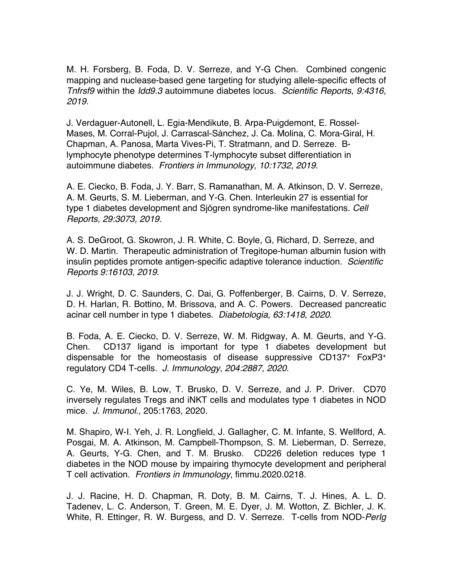M. H. Forsberg, B. Foda, D. V. Serreze, and Y-G Chen. Combined congenic mapping and nuclease-based gene targeting for studying allele-specific effects of *Tnfrsf9* within the *Idd9.3* autoimmune diabetes locus. *Scientific Reports*, *9:4316, 2019*.

J. Verdaguer-Autonell, L. Egia-Mendikute, B. Arpa-Puigdemont, E. Rossel-Mases, M. Corral-Pujol, J. Carrascal-Sánchez, J. Ca. Molina, C. Mora-Giral, H. Chapman, A. Panosa, Marta Vives-Pi, T. Stratmann, and D. Serreze. Blymphocyte phenotype determines T-lymphocyte subset differentiation in autoimmune diabetes. *Frontiers in Immunology*, *10:1732, 2019*.

A. E. Ciecko, B. Foda, J. Y. Barr, S. Ramanathan, M. A. Atkinson, D. V. Serreze, A. M. Geurts, S. M. Lieberman, and Y-G. Chen. Interleukin 27 is essential for type 1 diabetes development and Sjögren syndrome-like manifestations. *Cell Reports*, *29:3073, 2019*.

A. S. DeGroot, G. Skowron, J. R. White, C. Boyle, G, Richard, D. Serreze, and W. D. Martin. Therapeutic administration of Tregitope-human albumin fusion with insulin peptides promote antigen-specific adaptive tolerance induction. *Scientific Reports 9:16103, 2019*.

J. J. Wright, D. C. Saunders, C. Dai, G. Poffenberger, B. Cairns, D. V. Serreze, D. H. Harlan, R. Bottino, M. Brissova, and A. C. Powers. Decreased pancreatic acinar cell number in type 1 diabetes. *Diabetologia, 63:1418, 2020*.

B. Foda, A. E. Ciecko, D. V. Serreze, W. M. Ridgway, A. M. Geurts, and Y-G. Chen. CD137 ligand is important for type 1 diabetes development but dispensable for the homeostasis of disease suppressive CD137+ FoxP3+ regulatory CD4 T-cells. *J. Immunology*, *204:2887, 2020*.

C. Ye, M. Wiles, B. Low, T. Brusko, D. V. Serreze, and J. P. Driver. CD70 inversely regulates Tregs and iNKT cells and modulates type 1 diabetes in NOD mice. *J. Immunol*., 205:1763, 2020.

M. Shapiro, W-I. Yeh, J. R. Longfield, J. Gallagher, C. M. Infante, S. Wellford, A. Posgai, M. A. Atkinson, M. Campbell-Thompson, S. M. Lieberman, D. Serreze, A. Geurts, Y-G. Chen, and T. M. Brusko. CD226 deletion reduces type 1 diabetes in the NOD mouse by impairing thymocyte development and peripheral T cell activation. *Frontiers in Immunology*, fimmu.2020.0218.

J. J. Racine, H. D. Chapman, R. Doty, B. M. Cairns, T. J. Hines, A. L. D. Tadenev, L. C. Anderson, T. Green, M. E. Dyer, J. M. Wotton, Z. Bichler, J. K. White, R. Ettinger, R. W. Burgess, and D. V. Serreze. T-cells from NOD-*PerIg*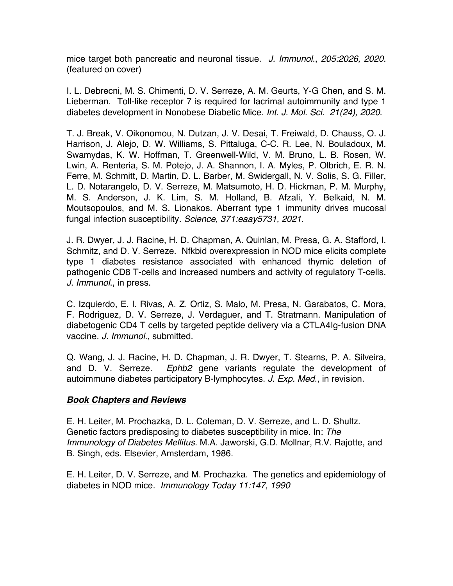mice target both pancreatic and neuronal tissue. *J. Immunol*., *205:2026, 2020*. (featured on cover)

I. L. Debrecni, M. S. Chimenti, D. V. Serreze, A. M. Geurts, Y-G Chen, and S. M. Lieberman. Toll-like receptor 7 is required for lacrimal autoimmunity and type 1 diabetes development in Nonobese Diabetic Mice. *Int. J. Mol. Sci. 21(24), 2020*.

T. J. Break, V. Oikonomou, N. Dutzan, J. V. Desai, T. Freiwald, D. Chauss, O. J. Harrison, J. Alejo, D. W. Williams, S. Pittaluga, C-C. R. Lee, N. Bouladoux, M. Swamydas, K. W. Hoffman, T. Greenwell-Wild, V. M. Bruno, L. B. Rosen, W. Lwin, A. Renteria, S. M. Potejo, J. A. Shannon, I. A. Myles, P. Olbrich, E. R. N. Ferre, M. Schmitt, D. Martin, D. L. Barber, M. Swidergall, N. V. Solis, S. G. Filler, L. D. Notarangelo, D. V. Serreze, M. Matsumoto, H. D. Hickman, P. M. Murphy, M. S. Anderson, J. K. Lim, S. M. Holland, B. Afzali, Y. Belkaid, N. M. Moutsopoulos, and M. S. Lionakos. Aberrant type 1 immunity drives mucosal fungal infection susceptibility. *Science*, *371:eaay5731, 2021*.

J. R. Dwyer, J. J. Racine, H. D. Chapman, A. Quinlan, M. Presa, G. A. Stafford, I. Schmitz, and D. V. Serreze. Nfkbid overexpression in NOD mice elicits complete type 1 diabetes resistance associated with enhanced thymic deletion of pathogenic CD8 T-cells and increased numbers and activity of regulatory T-cells. *J. Immunol*., in press.

C. Izquierdo, E. I. Rivas, A. Z. Ortiz, S. Malo, M. Presa, N. Garabatos, C. Mora, F. Rodriguez, D. V. Serreze, J. Verdaguer, and T. Stratmann. Manipulation of diabetogenic CD4 T cells by targeted peptide delivery via a CTLA4Ig-fusion DNA vaccine. *J. Immunol*., submitted.

Q. Wang, J. J. Racine, H. D. Chapman, J. R. Dwyer, T. Stearns, P. A. Silveira, and D. V. Serreze. *Ephb2* gene variants regulate the development of autoimmune diabetes participatory B-lymphocytes. *J. Exp. Med*., in revision.

# *Book Chapters and Reviews*

E. H. Leiter, M. Prochazka, D. L. Coleman, D. V. Serreze, and L. D. Shultz. Genetic factors predisposing to diabetes susceptibility in mice. In: *The Immunology of Diabetes Mellitus.* M.A. Jaworski, G.D. Mollnar, R.V. Rajotte, and B. Singh, eds. Elsevier, Amsterdam, 1986.

E. H. Leiter, D. V. Serreze, and M. Prochazka. The genetics and epidemiology of diabetes in NOD mice. *Immunology Today 11:147, 1990*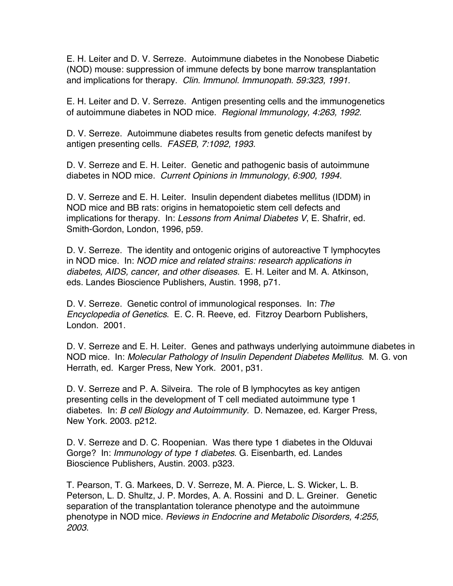E. H. Leiter and D. V. Serreze. Autoimmune diabetes in the Nonobese Diabetic (NOD) mouse: suppression of immune defects by bone marrow transplantation and implications for therapy. *Clin. Immunol. Immunopath. 59:323, 1991.*

E. H. Leiter and D. V. Serreze. Antigen presenting cells and the immunogenetics of autoimmune diabetes in NOD mice. *Regional Immunology, 4:263, 1992.*

D. V. Serreze. Autoimmune diabetes results from genetic defects manifest by antigen presenting cells. *FASEB, 7:1092, 1993.*

D. V. Serreze and E. H. Leiter. Genetic and pathogenic basis of autoimmune diabetes in NOD mice. *Current Opinions in Immunology*, *6:900, 1994.*

D. V. Serreze and E. H. Leiter. Insulin dependent diabetes mellitus (IDDM) in NOD mice and BB rats: origins in hematopoietic stem cell defects and implications for therapy. In: *Lessons from Animal Diabetes V*, E. Shafrir, ed. Smith-Gordon, London, 1996, p59.

D. V. Serreze. The identity and ontogenic origins of autoreactive T lymphocytes in NOD mice. In: *NOD mice and related strains: research applications in diabetes, AIDS, cancer, and other diseases.* E. H. Leiter and M. A. Atkinson, eds. Landes Bioscience Publishers, Austin. 1998, p71.

D. V. Serreze. Genetic control of immunological responses. In: *The Encyclopedia of Genetics*. E. C. R. Reeve, ed. Fitzroy Dearborn Publishers, London. 2001.

D. V. Serreze and E. H. Leiter. Genes and pathways underlying autoimmune diabetes in NOD mice. In: *Molecular Pathology of Insulin Dependent Diabetes Mellitus*. M. G. von Herrath, ed. Karger Press, New York. 2001, p31.

D. V. Serreze and P. A. Silveira. The role of B lymphocytes as key antigen presenting cells in the development of T cell mediated autoimmune type 1 diabetes. In: *B cell Biology and Autoimmunity.* D. Nemazee, ed. Karger Press, New York. 2003. p212.

D. V. Serreze and D. C. Roopenian. Was there type 1 diabetes in the Olduvai Gorge? In: *Immunology of type 1 diabetes*. G. Eisenbarth, ed. Landes Bioscience Publishers, Austin. 2003. p323.

T. Pearson, T. G. Markees, D. V. Serreze, M. A. Pierce, L. S. Wicker, L. B. Peterson, L. D. Shultz, J. P. Mordes, A. A. Rossini and D. L. Greiner. Genetic separation of the transplantation tolerance phenotype and the autoimmune phenotype in NOD mice. *Reviews in Endocrine and Metabolic Disorders, 4:255, 2003*.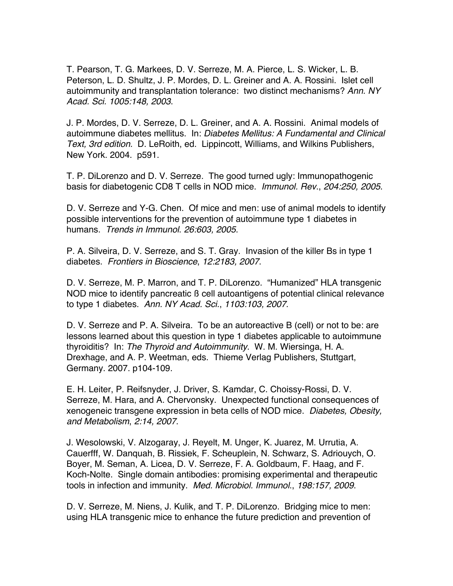T. Pearson, T. G. Markees, D. V. Serreze, M. A. Pierce, L. S. Wicker, L. B. Peterson, L. D. Shultz, J. P. Mordes, D. L. Greiner and A. A. Rossini. Islet cell autoimmunity and transplantation tolerance: two distinct mechanisms? *Ann. NY Acad. Sci. 1005:148, 2003*.

J. P. Mordes, D. V. Serreze, D. L. Greiner, and A. A. Rossini. Animal models of autoimmune diabetes mellitus. In: *Diabetes Mellitus: A Fundamental and Clinical Text, 3rd edition.* D. LeRoith, ed. Lippincott, Williams, and Wilkins Publishers, New York. 2004. p591.

T. P. DiLorenzo and D. V. Serreze. The good turned ugly: Immunopathogenic basis for diabetogenic CD8 T cells in NOD mice. *Immunol. Rev*., *204:250, 2005*.

D. V. Serreze and Y-G. Chen. Of mice and men: use of animal models to identify possible interventions for the prevention of autoimmune type 1 diabetes in humans. *Trends in Immunol*. *26:603, 2005*.

P. A. Silveira, D. V. Serreze, and S. T. Gray. Invasion of the killer Bs in type 1 diabetes. *Frontiers in Bioscience*, *12:2183, 2007*.

D. V. Serreze, M. P. Marron, and T. P. DiLorenzo. "Humanized" HLA transgenic NOD mice to identify pancreatic ß cell autoantigens of potential clinical relevance to type 1 diabetes. *Ann. NY Acad. Sci*., *1103:103, 2007*.

D. V. Serreze and P. A. Silveira. To be an autoreactive B (cell) or not to be: are lessons learned about this question in type 1 diabetes applicable to autoimmune thyroiditis? In: *The Thyroid and Autoimmunity*. W. M. Wiersinga, H. A. Drexhage, and A. P. Weetman, eds. Thieme Verlag Publishers, Stuttgart, Germany. 2007. p104-109.

E. H. Leiter, P. Reifsnyder, J. Driver, S. Kamdar, C. Choissy-Rossi, D. V. Serreze, M. Hara, and A. Chervonsky. Unexpected functional consequences of xenogeneic transgene expression in beta cells of NOD mice. *Diabetes, Obesity, and Metabolism*, *2:14, 2007*.

J. Wesolowski, V. Alzogaray, J. Reyelt, M. Unger, K. Juarez, M. Urrutia, A. Cauerfff, W. Danquah, B. Rissiek, F. Scheuplein, N. Schwarz, S. Adriouych, O. Boyer, M. Seman, A. Licea, D. V. Serreze, F. A. Goldbaum, F. Haag, and F. Koch-Nolte. Single domain antibodies: promising experimental and therapeutic tools in infection and immunity. *Med. Microbiol. Immunol*., *198:157, 2009*.

D. V. Serreze, M. Niens, J. Kulik, and T. P. DiLorenzo. Bridging mice to men: using HLA transgenic mice to enhance the future prediction and prevention of